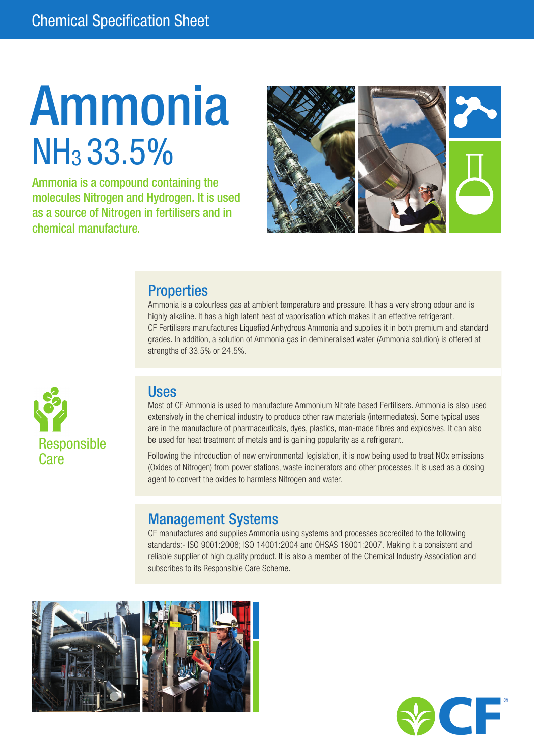# Ammonia NH3 33.5%

Ammonia is a compound containing the molecules Nitrogen and Hydrogen. It is used as a source of Nitrogen in fertilisers and in chemical manufacture.



### **Properties**

Ammonia is a colourless gas at ambient temperature and pressure. It has a very strong odour and is highly alkaline. It has a high latent heat of vaporisation which makes it an effective refrigerant. CF Fertilisers manufactures Liquefied Anhydrous Ammonia and supplies it in both premium and standard grades. In addition, a solution of Ammonia gas in demineralised water (Ammonia solution) is offered at strengths of 33.5% or 24.5%.



### Uses

Most of CF Ammonia is used to manufacture Ammonium Nitrate based Fertilisers. Ammonia is also used extensively in the chemical industry to produce other raw materials (intermediates). Some typical uses are in the manufacture of pharmaceuticals, dyes, plastics, man-made fibres and explosives. It can also be used for heat treatment of metals and is gaining popularity as a refrigerant.

Following the introduction of new environmental legislation, it is now being used to treat NOx emissions (Oxides of Nitrogen) from power stations, waste incinerators and other processes. It is used as a dosing agent to convert the oxides to harmless Nitrogen and water.

### Management Systems

CF manufactures and supplies Ammonia using systems and processes accredited to the following standards:- ISO 9001:2008; ISO 14001:2004 and OHSAS 18001:2007. Making it a consistent and reliable supplier of high quality product. It is also a member of the Chemical Industry Association and subscribes to its Responsible Care Scheme.